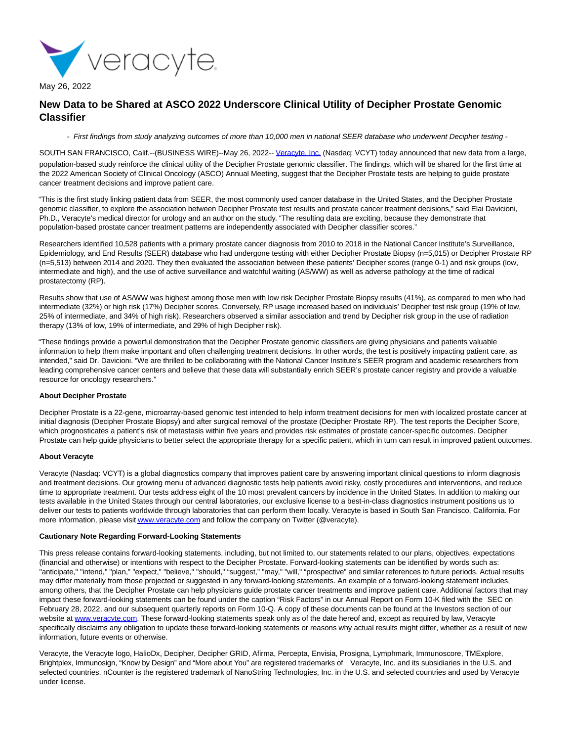

May 26, 2022

# **New Data to be Shared at ASCO 2022 Underscore Clinical Utility of Decipher Prostate Genomic Classifier**

- First findings from study analyzing outcomes of more than 10,000 men in national SEER database who underwent Decipher testing -

SOUTH SAN FRANCISCO, Calif.--(BUSINESS WIRE)--May 26, 2022-- [Veracyte, Inc. \(](https://cts.businesswire.com/ct/CT?id=smartlink&url=http%3A%2F%2Fwww.veracyte.com%2F&esheet=52732328&newsitemid=20220526005775&lan=en-US&anchor=Veracyte%2C+Inc.&index=1&md5=92d6883f201639108184a60122828790)Nasdaq: VCYT) today announced that new data from a large, population-based study reinforce the clinical utility of the Decipher Prostate genomic classifier. The findings, which will be shared for the first time at the 2022 American Society of Clinical Oncology (ASCO) Annual Meeting, suggest that the Decipher Prostate tests are helping to guide prostate cancer treatment decisions and improve patient care.

"This is the first study linking patient data from SEER, the most commonly used cancer database in the United States, and the Decipher Prostate genomic classifier, to explore the association between Decipher Prostate test results and prostate cancer treatment decisions," said Elai Davicioni, Ph.D., Veracyte's medical director for urology and an author on the study. "The resulting data are exciting, because they demonstrate that population-based prostate cancer treatment patterns are independently associated with Decipher classifier scores."

Researchers identified 10,528 patients with a primary prostate cancer diagnosis from 2010 to 2018 in the National Cancer Institute's Surveillance, Epidemiology, and End Results (SEER) database who had undergone testing with either Decipher Prostate Biopsy (n=5,015) or Decipher Prostate RP (n=5,513) between 2014 and 2020. They then evaluated the association between these patients' Decipher scores (range 0-1) and risk groups (low, intermediate and high), and the use of active surveillance and watchful waiting (AS/WW) as well as adverse pathology at the time of radical prostatectomy (RP).

Results show that use of AS/WW was highest among those men with low risk Decipher Prostate Biopsy results (41%), as compared to men who had intermediate (32%) or high risk (17%) Decipher scores. Conversely, RP usage increased based on individuals' Decipher test risk group (19% of low, 25% of intermediate, and 34% of high risk). Researchers observed a similar association and trend by Decipher risk group in the use of radiation therapy (13% of low, 19% of intermediate, and 29% of high Decipher risk).

"These findings provide a powerful demonstration that the Decipher Prostate genomic classifiers are giving physicians and patients valuable information to help them make important and often challenging treatment decisions. In other words, the test is positively impacting patient care, as intended," said Dr. Davicioni. "We are thrilled to be collaborating with the National Cancer Institute's SEER program and academic researchers from leading comprehensive cancer centers and believe that these data will substantially enrich SEER's prostate cancer registry and provide a valuable resource for oncology researchers."

## **About Decipher Prostate**

Decipher Prostate is a 22-gene, microarray-based genomic test intended to help inform treatment decisions for men with localized prostate cancer at initial diagnosis (Decipher Prostate Biopsy) and after surgical removal of the prostate (Decipher Prostate RP). The test reports the Decipher Score, which prognosticates a patient's risk of metastasis within five years and provides risk estimates of prostate cancer-specific outcomes. Decipher Prostate can help quide physicians to better select the appropriate therapy for a specific patient, which in turn can result in improved patient outcomes.

### **About Veracyte**

Veracyte (Nasdaq: VCYT) is a global diagnostics company that improves patient care by answering important clinical questions to inform diagnosis and treatment decisions. Our growing menu of advanced diagnostic tests help patients avoid risky, costly procedures and interventions, and reduce time to appropriate treatment. Our tests address eight of the 10 most prevalent cancers by incidence in the United States. In addition to making our tests available in the United States through our central laboratories, our exclusive license to a best-in-class diagnostics instrument positions us to deliver our tests to patients worldwide through laboratories that can perform them locally. Veracyte is based in South San Francisco, California. For more information, please visi[t www.veracyte.com a](https://cts.businesswire.com/ct/CT?id=smartlink&url=http%3A%2F%2Fwww.veracyte.com&esheet=52732328&newsitemid=20220526005775&lan=en-US&anchor=www.veracyte.com&index=2&md5=e1a50edeb0177455dc45ed9664e95ea7)nd follow the company on Twitter (@veracyte).

#### **Cautionary Note Regarding Forward-Looking Statements**

This press release contains forward-looking statements, including, but not limited to, our statements related to our plans, objectives, expectations (financial and otherwise) or intentions with respect to the Decipher Prostate. Forward-looking statements can be identified by words such as: "anticipate," "intend," "plan," "expect," "believe," "should," "suggest," "may," "will," "prospective" and similar references to future periods. Actual results may differ materially from those projected or suggested in any forward-looking statements. An example of a forward-looking statement includes, among others, that the Decipher Prostate can help physicians guide prostate cancer treatments and improve patient care. Additional factors that may impact these forward-looking statements can be found under the caption "Risk Factors" in our Annual Report on Form 10-K filed with the SEC on February 28, 2022, and our subsequent quarterly reports on Form 10-Q. A copy of these documents can be found at the Investors section of our website at [www.veracyte.com.](https://cts.businesswire.com/ct/CT?id=smartlink&url=http%3A%2F%2Fwww.veracyte.com&esheet=52732328&newsitemid=20220526005775&lan=en-US&anchor=www.veracyte.com&index=3&md5=90eaa534eca98f554e35d9f8e54c0229) These forward-looking statements speak only as of the date hereof and, except as required by law, Veracyte specifically disclaims any obligation to update these forward-looking statements or reasons why actual results might differ, whether as a result of new information, future events or otherwise.

Veracyte, the Veracyte logo, HalioDx, Decipher, Decipher GRID, Afirma, Percepta, Envisia, Prosigna, Lymphmark, Immunoscore, TMExplore, Brightplex, Immunosign, "Know by Design" and "More about You" are registered trademarks of Veracyte, Inc. and its subsidiaries in the U.S. and selected countries. nCounter is the registered trademark of NanoString Technologies, Inc. in the U.S. and selected countries and used by Veracyte under license.